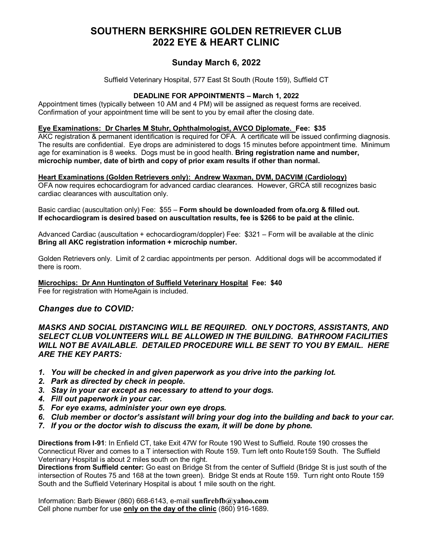# **SOUTHERN BERKSHIRE GOLDEN RETRIEVER CLUB 2022 EYE & HEART CLINIC**

## **Sunday March 6, 2022**

Suffield Veterinary Hospital, 577 East St South (Route 159), Suffield CT

### **DEADLINE FOR APPOINTMENTS – March 1, 2022**

Appointment times (typically between 10 AM and 4 PM) will be assigned as request forms are received. Confirmation of your appointment time will be sent to you by email after the closing date.

#### **Eye Examinations: Dr Charles M Stuhr, Ophthalmologist, AVCO Diplomate. Fee: \$35**

AKC registration & permanent identification is required for OFA. A certificate will be issued confirming diagnosis. The results are confidential. Eye drops are administered to dogs 15 minutes before appointment time. Minimum age for examination is 8 weeks. Dogs must be in good health. **Bring registration name and number, microchip number, date of birth and copy of prior exam results if other than normal.** 

#### **Heart Examinations (Golden Retrievers only): Andrew Waxman, DVM, DACVIM (Cardiology)**

OFA now requires echocardiogram for advanced cardiac clearances. However, GRCA still recognizes basic cardiac clearances with auscultation only.

Basic cardiac (auscultation only) Fee: \$55 – **Form should be downloaded from ofa.org & filled out. If echocardiogram is desired based on auscultation results, fee is \$266 to be paid at the clinic.** 

Advanced Cardiac (auscultation + echocardiogram/doppler) Fee: \$321 – Form will be available at the clinic **Bring all AKC registration information + microchip number.** 

Golden Retrievers only. Limit of 2 cardiac appointments per person. Additional dogs will be accommodated if there is room.

**Microchips: Dr Ann Huntington of Suffield Veterinary Hospital Fee: \$40** 

Fee for registration with HomeAgain is included.

### *Changes due to COVID:*

*MASKS AND SOCIAL DISTANCING WILL BE REQUIRED. ONLY DOCTORS, ASSISTANTS, AND SELECT CLUB VOLUNTEERS WILL BE ALLOWED IN THE BUILDING. BATHROOM FACILITIES WILL NOT BE AVAILABLE. DETAILED PROCEDURE WILL BE SENT TO YOU BY EMAIL. HERE ARE THE KEY PARTS:* 

- *1. You will be checked in and given paperwork as you drive into the parking lot.*
- *2. Park as directed by check in people.*
- *3. Stay in your car except as necessary to attend to your dogs.*
- *4. Fill out paperwork in your car.*
- *5. For eye exams, administer your own eye drops.*
- *6. Club member or doctor's assistant will bring your dog into the building and back to your car.*
- *7. If you or the doctor wish to discuss the exam, it will be done by phone.*

**Directions from I-91**: In Enfield CT, take Exit 47W for Route 190 West to Suffield. Route 190 crosses the Connecticut River and comes to a T intersection with Route 159. Turn left onto Route159 South. The Suffield Veterinary Hospital is about 2 miles south on the right.

**Directions from Suffield center:** Go east on Bridge St from the center of Suffield (Bridge St is just south of the intersection of Routes 75 and 168 at the town green). Bridge St ends at Route 159. Turn right onto Route 159 South and the Suffield Veterinary Hospital is about 1 mile south on the right.

Information: Barb Biewer (860) 668-6143, e-mail **sunfirebfb@yahoo.com** Cell phone number for use **only on the day of the clinic** (860) 916-1689.